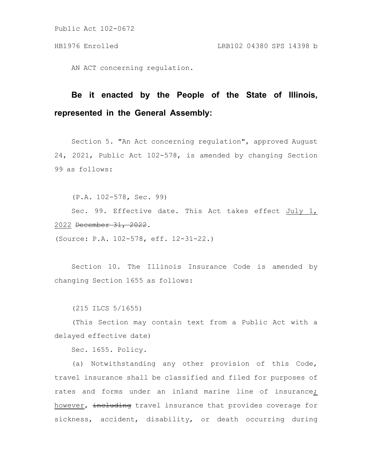Public Act 102-0672

AN ACT concerning regulation.

## **Be it enacted by the People of the State of Illinois, represented in the General Assembly:**

Section 5. "An Act concerning regulation", approved August 24, 2021, Public Act 102-578, is amended by changing Section 99 as follows:

(P.A. 102-578, Sec. 99)

Sec. 99. Effective date. This Act takes effect July 1, 2022 December 31, 2022.

(Source: P.A. 102-578, eff. 12-31-22.)

Section 10. The Illinois Insurance Code is amended by changing Section 1655 as follows:

(215 ILCS 5/1655)

(This Section may contain text from a Public Act with a delayed effective date)

Sec. 1655. Policy.

(a) Notwithstanding any other provision of this Code, travel insurance shall be classified and filed for purposes of rates and forms under an inland marine line of insurance; however, including travel insurance that provides coverage for sickness, accident, disability, or death occurring during